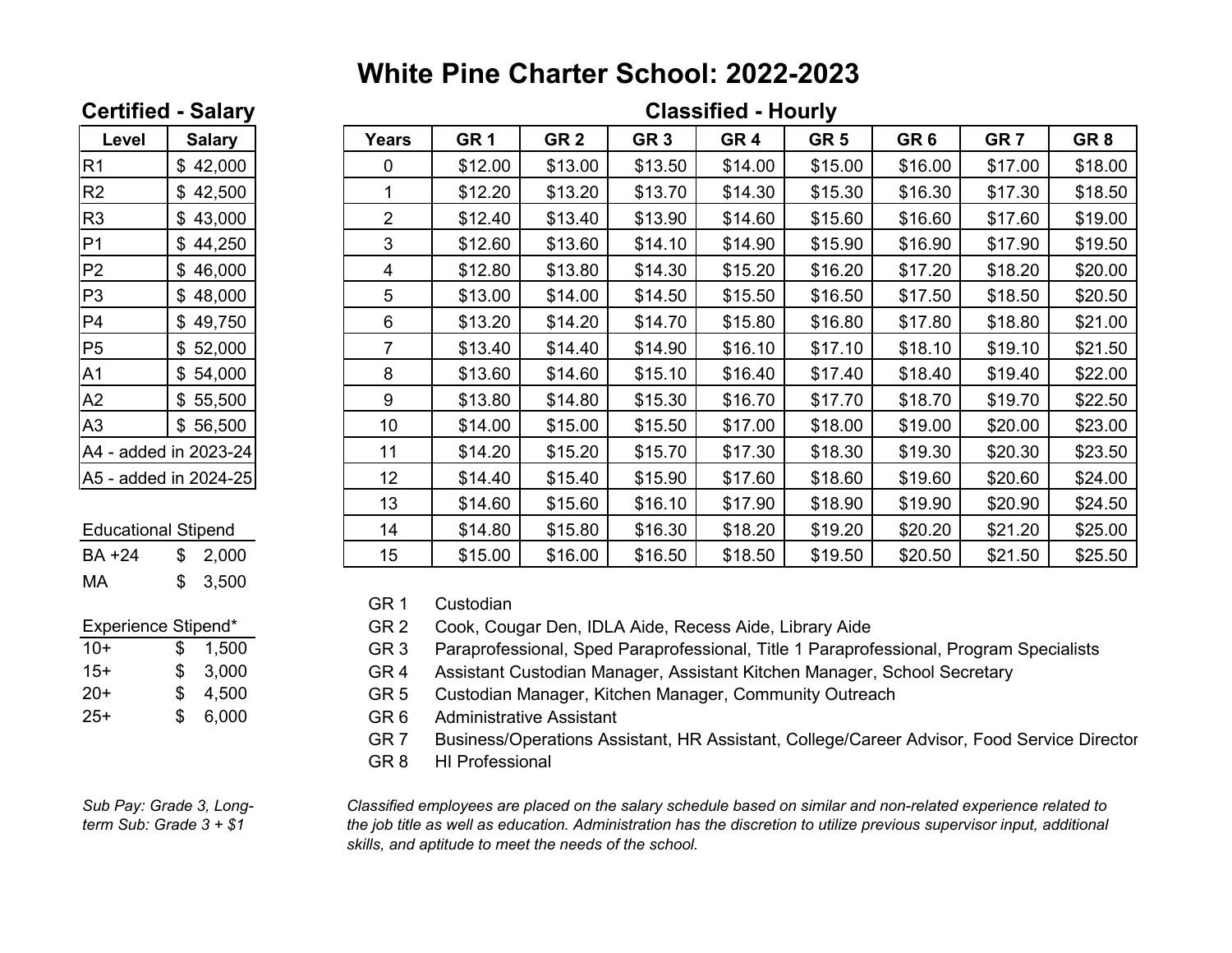# **White Pine Charter School: 2022-2023**

## **Certified - Salary Classified - Hourly**

| Level                 | <b>Salary</b> |  |  |  |  |
|-----------------------|---------------|--|--|--|--|
| R1                    | \$42,000      |  |  |  |  |
| R <sub>2</sub>        | \$42,500      |  |  |  |  |
| R3                    | \$43,000      |  |  |  |  |
| P1                    | \$44,250      |  |  |  |  |
| P2                    | \$46,000      |  |  |  |  |
| P3                    | \$48,000      |  |  |  |  |
| P4                    | \$49,750      |  |  |  |  |
| P <sub>5</sub>        | \$52,000      |  |  |  |  |
| A <sub>1</sub>        | \$54,000      |  |  |  |  |
| A2                    | \$55,500      |  |  |  |  |
| A3                    | \$56,500      |  |  |  |  |
| A4 - added in 2023-24 |               |  |  |  |  |
| A5 - added in 2024-25 |               |  |  |  |  |

### **Educational Stipend**

| BA +24 | \$2,000 |
|--------|---------|
| МA     | \$3,500 |

| 10+   | S  | 1,500 |
|-------|----|-------|
| $15+$ | S  | 3,000 |
| $20+$ | S  | 4,500 |
| $25+$ | S. | 6,000 |

*Sub Pay: Grade 3, Long-*

|                            | wunuvu<br> |                |                 |                 |                 |                 |                 |                 |                 |                 |
|----------------------------|------------|----------------|-----------------|-----------------|-----------------|-----------------|-----------------|-----------------|-----------------|-----------------|
| <b>Salary</b>              |            | Years          | GR <sub>1</sub> | GR <sub>2</sub> | GR <sub>3</sub> | GR <sub>4</sub> | GR <sub>5</sub> | GR <sub>6</sub> | GR <sub>7</sub> | GR <sub>8</sub> |
| \$42,000                   |            | 0              | \$12.00         | \$13.00         | \$13.50         | \$14.00         | \$15.00         | \$16.00         | \$17.00         | \$18.00         |
| \$42,500                   |            |                | \$12.20         | \$13.20         | \$13.70         | \$14.30         | \$15.30         | \$16.30         | \$17.30         | \$18.50         |
| \$43,000                   |            | $\overline{2}$ | \$12.40         | \$13.40         | \$13.90         | \$14.60         | \$15.60         | \$16.60         | \$17.60         | \$19.00         |
| \$44,250                   |            | 3              | \$12.60         | \$13.60         | \$14.10         | \$14.90         | \$15.90         | \$16.90         | \$17.90         | \$19.50         |
| \$46,000                   |            | 4              | \$12.80         | \$13.80         | \$14.30         | \$15.20         | \$16.20         | \$17.20         | \$18.20         | \$20.00         |
| \$48,000                   |            | 5              | \$13.00         | \$14.00         | \$14.50         | \$15.50         | \$16.50         | \$17.50         | \$18.50         | \$20.50         |
| \$49,750                   |            | 6              | \$13.20         | \$14.20         | \$14.70         | \$15.80         | \$16.80         | \$17.80         | \$18.80         | \$21.00         |
| \$52,000                   |            | $\overline{7}$ | \$13.40         | \$14.40         | \$14.90         | \$16.10         | \$17.10         | \$18.10         | \$19.10         | \$21.50         |
| \$54,000                   |            | 8              | \$13.60         | \$14.60         | \$15.10         | \$16.40         | \$17.40         | \$18.40         | \$19.40         | \$22.00         |
| \$55,500                   |            | 9              | \$13.80         | \$14.80         | \$15.30         | \$16.70         | \$17.70         | \$18.70         | \$19.70         | \$22.50         |
| \$56,500                   |            | 10             | \$14.00         | \$15.00         | \$15.50         | \$17.00         | \$18.00         | \$19.00         | \$20.00         | \$23.00         |
| A4 - added in 2023-24      |            | 11             | \$14.20         | \$15.20         | \$15.70         | \$17.30         | \$18.30         | \$19.30         | \$20.30         | \$23.50         |
| A5 - added in 2024-25      |            | 12             | \$14.40         | \$15.40         | \$15.90         | \$17.60         | \$18.60         | \$19.60         | \$20.60         | \$24.00         |
|                            |            | 13             | \$14.60         | \$15.60         | \$16.10         | \$17.90         | \$18.90         | \$19.90         | \$20.90         | \$24.50         |
| <b>Educational Stipend</b> |            | 14             | \$14.80         | \$15.80         | \$16.30         | \$18.20         | \$19.20         | \$20.20         | \$21.20         | \$25.00         |
| \$2,000                    |            | 15             | \$15.00         | \$16.00         | \$16.50         | \$18.50         | \$19.50         | \$20.50         | \$21.50         | \$25.50         |
|                            |            |                |                 |                 |                 |                 |                 |                 |                 |                 |

GR 1 Custodian

Experience Stipend\* GR 2 Cook, Cougar Den, IDLA Aide, Recess Aide, Library Aide

GR 3 Paraprofessional, Sped Paraprofessional, Title 1 Paraprofessional, Program Specialists

15+ \$ 3,000 GR 4 Assistant Custodian Manager, Assistant Kitchen Manager, School Secretary

GR 5 Custodian Manager, Kitchen Manager, Community Outreach

GR 6 Administrative Assistant

GR 7 Business/Operations Assistant, HR Assistant, College/Career Advisor, Food Service Director

GR 8 HI Professional

Sub Pay: Grade 3, Long-<br>
the job title as well as education. Administration has the discretion to utilize previous supervisor input, additional<br>
the job title as well as education. Administration has the discretion to util *skills, and aptitude to meet the needs of the school.*